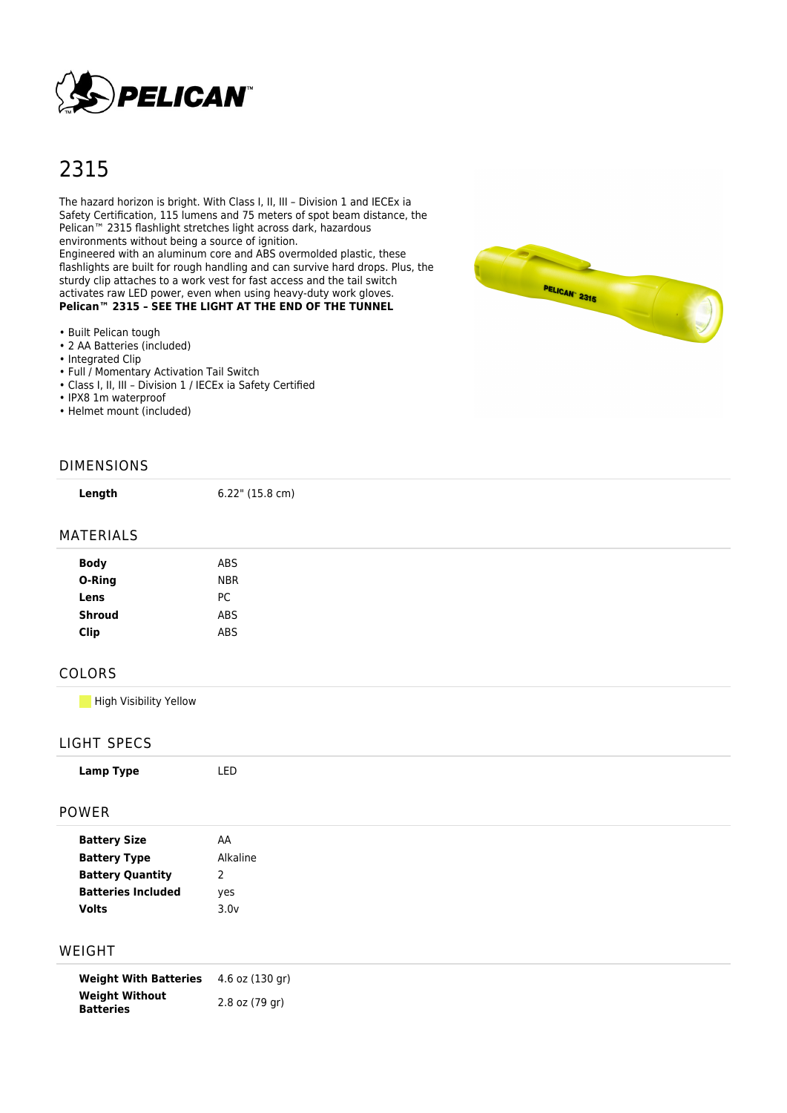

# 2315

The hazard horizon is bright. With Class I, II, III – Division 1 and IECEx ia Safety Certification, 115 lumens and 75 meters of spot beam distance, the Pelican™ 2315 flashlight stretches light across dark, hazardous environments without being a source of ignition.

Engineered with an aluminum core and ABS overmolded plastic, these flashlights are built for rough handling and can survive hard drops. Plus, the sturdy clip attaches to a work vest for fast access and the tail switch activates raw LED power, even when using heavy-duty work gloves. **Pelican™ 2315 - SEE THE LIGHT AT THE END OF THE TUNNEL** 

- Built Pelican tough
- 2 AA Batteries (included)
- Integrated Clip
- Full / Momentary Activation Tail Switch
- Class I, II, III Division 1 / IECEx ia Safety Certified
- IPX8 1m waterproof
- Helmet mount (included)

# DIMENSIONS

**Length** 6.22" (15.8 cm)

#### MATERIALS

| <b>Body</b>   | ABS        |
|---------------|------------|
| O-Ring        | <b>NBR</b> |
| Lens          | PC         |
| <b>Shroud</b> | ABS        |
| <b>Clip</b>   | ABS        |
|               |            |

# COLORS

**High Visibility Yellow** 

#### LIGHT SPECS

| <b>POWER</b> |  |  |  |
|--------------|--|--|--|

| <b>Battery Size</b>       | AA            |
|---------------------------|---------------|
| <b>Battery Type</b>       | Alkaline      |
| <b>Battery Quantity</b>   | $\mathcal{P}$ |
| <b>Batteries Included</b> | yes           |
| <b>Volts</b>              | 3.0v          |
|                           |               |

## WEIGHT

**Weight With Batteries** 4.6 oz (130 gr) **Weight Without Batteries** 2.8 oz (79 gr)